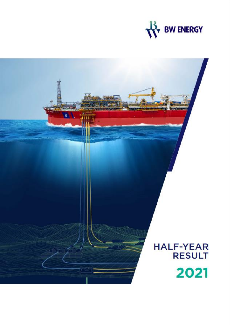

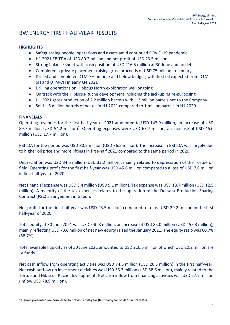# BW ENERGY FIRST HALF-YEAR RESULTS

### **HIGHLIGHTS**

- Safeguarding people, operations and assets amid continued COVID-19 pandemic
- H1 2021 EBITDA of USD 80.2 million and net profit of USD 23.5 million
- Strong balance sheet with cash position of USD 216.5 million at 30 June and no debt
- Completed a private placement raising gross proceeds of USD 75 million in January
- Drilled and completed DTM-7H on time and below budget, with first oil expected from DTM-6H and DTM-7H in early Q4 2021
- Drilling operations on Hibiscus North exploration well ongoing
- On track with the Hibiscus-Ruche development including the jack-up rig re-purposing
- H1 2021 gross production of 2.2 million barrels with 1.3 million barrels net to the Company
- Sold 1.6 million barrels of net oil in H1 2021 compared to 1 million barrels in H1 2020

### **FINANCIALS**

Operating revenues for the first half-year of 2021 amounted to USD 143.9 million, an increase of USD 89.7 million (USD 54.2 million)<sup>1</sup>. Operating expenses were USD 63.7 million, an increase of USD 46.0 million (USD 17.7 million).

EBITDA for the period was USD 80.2 million (USD 36.5 million). The increase in EBITDA was largely due to higher oil price and more liftings in first-half 2021 compared to the same period in 2020.

Depreciation was USD 34.6 million (USD 32.2 million), mainly related to depreciation of the Tortue oil field. Operating profit for the first half-year was USD 45.6 million compared to a loss of USD 7.6 million in first half-year of 2020.

Net financial expense was USD 3.4 million (USD 9.1 million). Tax expense was USD 18.7 million (USD 12.5 million). A majority of the tax expenses relates to the operation of the Dussafu Production Sharing Contract (PSC) arrangement in Gabon.

Net profit for the first half-year was USD 23.5 million, compared to a loss USD 29.2 million in the first half-year of 2020.

Total equity at 30 June 2021 was USD 540.3 million, an increase of USD 85.0 million (USD 455.3 million), mainly reflecting USD 73.6 million of net new equity raised the January 2021. The equity ratio was 60.7% (58.7%).

Total available liquidity as of 30 June 2021 amounted to USD 216.5 million of which USD 20.2 million are JV funds.

Net cash inflow from operating activities was USD 74.5 million (USD 26.3 million) in the first half-year. Net cash outflow on investment activities was USD 36.3 million (USD 58.6 million), mainly related to the Tortue and Hibiscus-Ruche development. Net cash inflow from financing activities was USD 57.7 million (inflow USD 78.9 million).

 $^1$  Figures presented are compared to previous half-year (first half-year of 2020 in brackets)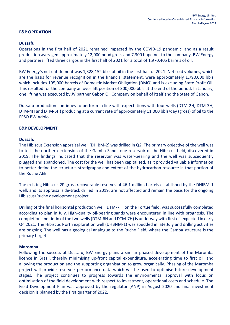### **E&P OPERATION**

### **Dussafu**

Operations in the first half of 2021 remained impacted by the COVID-19 pandemic, and as a result production averaged approximately 12,000 bopd gross and 7,300 bopd net to the company. BW Energy and partners lifted three cargos in the first half of 2021 for a total of 1,970,405 barrels of oil.

BW Energy's net entitlement was 1,328,152 bbls of oil in the first half of 2021. Net sold volumes, which are the basis for revenue recognition in the financial statement, were approximately 1,790,000 bbls which includes 195,000 barrels of Domestic Market Obligation (DMO) and is excluding State Profit Oil. This resulted for the company an over-lift position of 300,000 bbls at the end of the period. In January, one lifting was executed by JV partner Gabon Oil Company on behalf of itself and the State of Gabon.

Dussafu production continues to perform in line with expectations with four wells (DTM-2H, DTM-3H, DTM-4H and DTM-5H) producing at a current rate of approximately 11,000 bbls/day (gross) of oil to the FPSO BW Adolo.

#### **E&P DEVELOPMENT**

### **Dussafu**

The Hibiscus Extension appraisal well (DHIBM-2) was drilled in Q2. The primary objective of the well was to test the northern extension of the Gamba Sandstone reservoir of the Hibiscus field, discovered in 2019. The findings indicated that the reservoir was water-bearing and the well was subsequently plugged and abandoned. The cost for the well has been capitalised, as it provided valuable information to better define the structure, stratigraphy and extent of the hydrocarbon resource in that portion of the Ruche AEE.

The existing Hibiscus 2P gross recoverable reserves of 46.1 million barrels established by the DHIBM-1 well, and its appraisal side-track drilled in 2019, are not affected and remain the basis for the ongoing Hibiscus/Ruche development project.

Drilling of the final horizontal production well, DTM-7H, on the Tortue field, was successfully completed according to plan in July. High-quality oil-bearing sands were encountered in line with prognosis. The completion and tie-in of the two wells (DTM-6H and DTM-7H) is underway with first oil expected in early Q4 2021. The Hibiscus North exploration well (DHBNM-1) was spudded in late July and drilling activities are ongoing. The well has a geological analogue to the Ruche Field, where the Gamba structure is the primary target.

#### **Maromba**

Following the success at Dussafu, BW Energy plans a similar phased development of the Maromba licence in Brazil, thereby minimising up-front capital expenditure, accelerating time to first oil, and allowing the production and the supporting organisation to grow organically. Phasing of the Maromba project will provide reservoir performance data which will be used to optimise future development stages. The project continues to progress towards the environmental approval with focus on optimisation of the field development with respect to investment, operational costs and schedule. The Field Development Plan was approved by the regulator (ANP) in August 2020 and final investment decision is planned by the first quarter of 2022.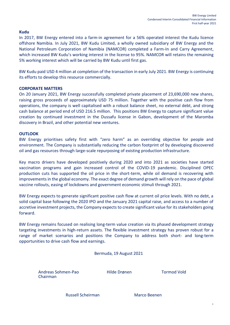### **Kudu**

In 2017, BW Energy entered into a farm-in agreement for a 56% operated interest the Kudu licence offshore Namibia. In July 2021, BW Kudu Limited, a wholly owned subsidiary of BW Energy and the National Petroleum Corporation of Namibia (NAMCOR) completed a Farm-In and Carry Agreement, which increased BW Kudu's working interest in the license to 95%. NAMCOR will retains the remaining 5% working interest which will be carried by BW Kudu until first gas.

BW Kudu paid USD 4 million at completion of the transaction in early July 2021. BW Energy is continuing its efforts to develop this resource commercially.

### **CORPORATE MATTERS**

On 20 January 2021, BW Energy successfully completed private placement of 23,690,000 new shares, raising gross proceeds of approximately USD 75 million. Together with the positive cash flow from operations, the company is well capitalised with a robust balance sheet, no external debt, and strong cash balance at period end of USD 216.5 million. This positions BW Energy to capture significant value creation by continued investment in the Dussafu license in Gabon, development of the Maromba discovery in Brazil, and other potential new ventures.

#### **OUTLOOK**

BW Energy prioritises safety first with "zero harm" as an overriding objective for people and environment. The Company is substantially reducing the carbon footprint of by developing discovered oil and gas resources through large-scale repurposing of existing production infrastructure.

Key macro drivers have developed positively during 2020 and into 2021 as societies have started vaccination programs and gain increased control of the COVID-19 pandemic. Disciplined OPEC production cuts has supported the oil price in the short-term, while oil demand is recovering with improvements in the global economy. The exact degree of demand growth will rely on the pace of global vaccine rollouts, easing of lockdowns and government economic stimuli through 2021.

BW Energy expects to generate significant positive cash flow at current oil price levels. With no debt, a solid capital base following the 2020 IPO and the January 2021 capital raise, and access to a number of accretive investment projects, the Company expects to create significant value for its stakeholders going forward.

BW Energy remains focused on realising long-term value creation via its phased development strategy targeting investments in high-return assets. The flexible investment strategy has proven robust for a range of market scenarios and positions the Company to address both short- and long-term opportunities to drive cash flow and earnings.

Bermuda, 19 August 2021

Andreas Sohmen-Pao Hilde Drønen Tormod Vold Chairman

Russell Scheirman Marco Beenen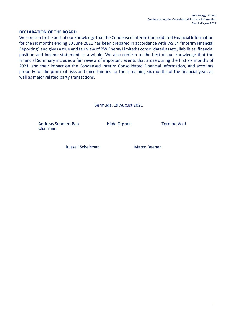### **DECLARATION OF THE BOARD**

We confirm to the best of our knowledge that the Condensed Interim Consolidated Financial Information for the six months ending 30 June 2021 has been prepared in accordance with IAS 34 "Interim Financial Reporting" and gives a true and fair view of BW Energy Limited's consolidated assets, liabilities, financial position and income statement as a whole. We also confirm to the best of our knowledge that the Financial Summary includes a fair review of important events that arose during the first six months of 2021, and their impact on the Condensed Interim Consolidated Financial Information, and accounts properly for the principal risks and uncertainties for the remaining six months of the financial year, as well as major related party transactions.

Bermuda, 19 August 2021

Andreas Sohmen-Pao Hilde Drønen Tormod Vold Chairman

Russell Scheirman Marco Beenen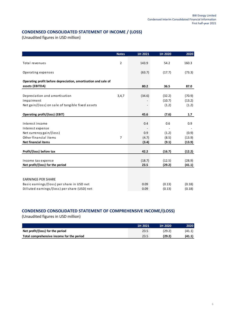## **CONDENSED CONSOLIDATED STATEMENT OF INCOME / (LOSS)**

(Unaudited figures in USD million)

|                                                                                   | <b>Notes</b>   | 1H 2021 | 1H 2020 | 2020   |
|-----------------------------------------------------------------------------------|----------------|---------|---------|--------|
|                                                                                   |                |         |         |        |
| Total revenues                                                                    | $\overline{2}$ | 143.9   | 54.2    | 160.3  |
| Operating expenses                                                                |                | (63.7)  | (17.7)  | (73.3) |
|                                                                                   |                |         |         |        |
| Operating profit before depreciation, amortisation and sale of<br>assets (EBITDA) |                | 80.2    | 36.5    | 87.0   |
|                                                                                   |                |         |         |        |
| Depreciation and amortisation                                                     | 3,4,7          | (34.6)  | (32.2)  | (70.9) |
| Impairment                                                                        |                |         | (10.7)  | (13.2) |
| Net gain/(loss) on sale of tangible fixed assets                                  |                |         | (1.2)   | (1.2)  |
|                                                                                   |                |         |         |        |
| Operating profit/(loss) (EBIT)                                                    |                | 45.6    | (7.6)   | 1.7    |
|                                                                                   |                |         |         |        |
| Interest income                                                                   |                | 0.4     | 0.6     | 0.9    |
| Interest expense                                                                  |                |         |         |        |
| Net currency gain/(loss)                                                          |                | 0.9     | (1.2)   | (0.9)  |
| Other financial items                                                             | $\overline{7}$ | (4.7)   | (8.5)   | (13.9) |
| <b>Net financial items</b>                                                        |                | (3.4)   | (9.1)   | (13.9) |
|                                                                                   |                |         |         |        |
| Profit/(loss) before tax                                                          |                | 42.2    | (16.7)  | (12.2) |
|                                                                                   |                |         |         |        |
| Income tax expense                                                                |                | (18.7)  | (12.5)  | (28.9) |
| Net profit/(loss) for the period                                                  |                | 23.5    | (29.2)  | (41.1) |
|                                                                                   |                |         |         |        |
| <b>EARNINGS PER SHARE</b>                                                         |                |         |         |        |
|                                                                                   |                |         |         |        |
| Basic earnings/(loss) per share in USD net                                        |                | 0.09    | (0.13)  | (0.18) |
| Dilluted earnings/(loss) per share (USD) net                                      |                | 0.09    | (0.13)  | (0.18) |

## **CONDENSED CONSOLIDATED STATEMENT OF COMPREHENSIVE INCOME/(LOSS)**

|                                           | 1H 2021 | 1H 2020 | 2020   |
|-------------------------------------------|---------|---------|--------|
| Net profit/(loss) for the period          | 23.5    | (29.2)  | (41.1  |
| Total comprehensive income for the period | 23.5    | (29.2)  | (41.1) |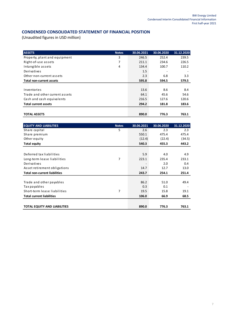## **CONDENSED CONSOLIDATED STATEMENT OF FINANCIAL POSITION**

| <b>ASSETS</b>                  | <b>Notes</b> | 30.06.2021 | 30.06.2020 | 31.12.2020 |
|--------------------------------|--------------|------------|------------|------------|
| Property, plant and equipment  | 3            | 246.5      | 252.4      | 239.5      |
| Right-of-use assets            | 7            | 211.1      | 234.6      | 226.5      |
| Intangible assets              | 4            | 134.4      | 100.7      | 110.2      |
| Derivatives                    |              | 1.5        | ٠          |            |
| Other non-current assets       |              | 2.3        | 6.8        | 3.3        |
| Total non-current assets       |              | 595.8      | 594.5      | 579.5      |
|                                |              |            |            |            |
| Inventories                    |              | 13.6       | 8.6        | 8.4        |
| Trade and other current assets |              | 64.1       | 45.6       | 54.6       |
| Cash and cash equivalents      |              | 216.5      | 127.6      | 120.6      |
| <b>Total current assets</b>    |              | 294.2      | 181.8      | 183.6      |
|                                |              |            |            |            |
| <b>TOTAL ASSETS</b>            |              | 890.0      | 776.3      | 763.1      |

| <b>EQUITY AND LIABILITIES</b>        | <b>Notes</b> | 30.06.2021 | 30.06.2020 | 31.12.2020 |
|--------------------------------------|--------------|------------|------------|------------|
| Share capital                        | 5            | 2.6        | 2.3        | 2.3        |
| Share premium                        |              | 550.1      | 475.4      | 475.4      |
| Other equity                         |              | (12.4)     | (22.4)     | (34.5)     |
| <b>Total equity</b>                  |              | 540.3      | 455.3      | 443.2      |
|                                      |              |            |            |            |
| Deferred tax liabilities             |              | 5.9        | 4.0        | 4.9        |
| Long-term lease liabilities          | 7            | 223.1      | 235.4      | 233.1      |
| Derivatives                          |              |            | 2.0        | 0.4        |
| Asset retirement obligations         |              | 14.7       | 12.7       | 13.0       |
| <b>Total non-current liabilities</b> |              | 243.7      | 254.1      | 251.4      |
|                                      |              |            |            |            |
| Trade and other payables             |              | 86.2       | 51.0       | 49.4       |
| Tax payables                         |              | 0.3        | 0.1        |            |
| Short-term lease liabilities         | 7            | 19.5       | 15.8       | 19.1       |
| <b>Total current liabilities</b>     |              | 106.0      | 66.9       | 68.5       |
|                                      |              |            |            |            |
| <b>TOTAL EQUITY AND LIABILITIES</b>  |              | 890.0      | 776.3      | 763.1      |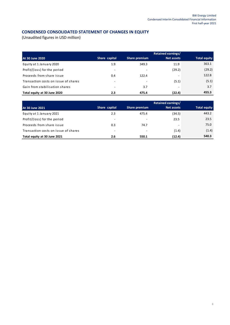## **CONDENSED CONSOLIDATED STATEMENT OF CHANGES IN EQUITY**

|                                      |                          |               | Retained earnings/ |                     |
|--------------------------------------|--------------------------|---------------|--------------------|---------------------|
| At 30 June 2020                      | Share capital            | Share premium | Net assets         | <b>Total equity</b> |
| Equity at 1 January 2020             | 1.9                      | 349.3         | 11.9               | 363.1               |
| Profit/(loss) for the period         | ٠                        |               | (29.2)             | (29.2)              |
| Proceeds from share issue            | 0.4                      | 122.4         |                    | 122.8               |
| Transaction costs on issue of shares | ۰                        |               | (5.1)              | (5.1)               |
| Gain from stabilisation shares       | $\overline{\phantom{a}}$ | 3.7           | ۰                  | 3.7                 |
| Total equity at 30 June 2020         | 2.3                      | 475.4         | (22.4)             | 455.3               |

|                                      |                          |               | <b>Retained earnings/</b> |                     |
|--------------------------------------|--------------------------|---------------|---------------------------|---------------------|
| At 30 June 2021                      | Share capital            | Share premium | Net assets                | <b>Total equity</b> |
| Equity at 1 January 2021             | 2.3                      | 475.4         | (34.5)                    | 443.2               |
| Profit/(loss) for the period         | $\overline{\phantom{a}}$ | ۰             | 23.5                      | 23.5                |
| Proceeds from share issue            | 0.3                      | 74.7          | -                         | 75.0                |
| Transaction costs on issue of shares | $\overline{\phantom{a}}$ | -             | (1.4)                     | (1.4)               |
| Total equity at 30 June 2021         | 2.6                      | 550.1         | (12.4)                    | 540.3               |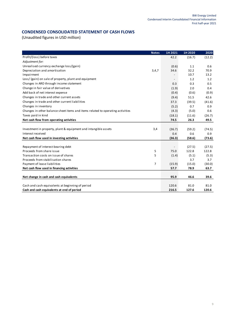## **CONDENSED CONSOLIDATED STATEMENT OF CASH FLOWS**

|                                                                                | <b>Notes</b> | 1H 2021 | 1H 2020 | 2020   |
|--------------------------------------------------------------------------------|--------------|---------|---------|--------|
| Profit/(loss) before taxes                                                     |              | 42.2    | (16.7)  | (12.2) |
| Adjustment for:                                                                |              |         |         |        |
| Unrealised currency exchange loss/(gain)                                       |              | (0.6)   | 1.1     | 0.6    |
| Depreciation and amortisation                                                  | 3,4,7        | 34.6    | 32.2    | 70.9   |
| Impairment                                                                     |              |         | 10.7    | 13.2   |
| Loss/ (gain) on sale of property, plant and equipment                          |              |         | 1.2     | 1.2    |
| Changes in ARO through income statement                                        |              | 0.3     | 0.3     | 0.5    |
| Change in fair value of derivatives                                            |              | (1.9)   | 2.0     | 0.4    |
| Add back of net interest expense                                               |              | (0.4)   | (0.6)   | (0.9)  |
| Changes in trade and other current assets                                      |              | (9.4)   | 51.5    | 42.6   |
| Changes in trade and other current liabilities                                 |              | 37.3    | (39.5)  | (41.6) |
| Changes in inventory                                                           |              | (5.2)   | 0.7     | 0.9    |
| Changes in other balance sheet items and items related to operating activities |              | (4.3)   | (5.0)   | 0.6    |
| Taxes paid in kind                                                             |              | (18.1)  | (11.6)  | (26.7) |
| Net cash flow from operating activities                                        |              | 74.5    | 26.3    | 49.5   |
|                                                                                |              |         |         |        |
| Investment in property, plant & equipment and intangible assets                | 3,4          | (36.7)  | (59.2)  | (74.5) |
| Interest received                                                              |              | 0.4     | 0.6     | 0.9    |
| Net cash flow used in investing activities                                     |              | (36.3)  | (58.6)  | (73.6) |
|                                                                                |              |         |         |        |
| Repayment of interest-bearing debt                                             |              |         | (27.5)  | (27.5) |
| Proceeds from share issue                                                      | 5            | 75.0    | 122.8   | 122.8  |
| Transaction costs on issue of shares                                           | 5            | (1.4)   | (5.1)   | (5.3)  |
| Proceeds from stabilisation shares                                             |              |         | 3.7     | 3.7    |
| Payment of lease liabilities                                                   | 7            | (15.9)  | (15.0)  | (30.0) |
| Net cash flow used in financing activities                                     |              | 57.7    | 78.9    | 63.7   |
|                                                                                |              |         |         |        |
| Net change in cash and cash equivalents                                        |              | 95.9    | 46.6    | 39.6   |
|                                                                                |              |         |         |        |
| Cash and cash equivalents at beginning of period                               |              | 120.6   | 81.0    | 81.0   |
| Cash and cash equivalents at end of period                                     |              | 216.5   | 127.6   | 120.6  |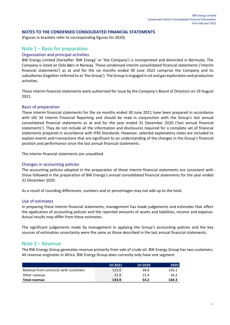#### **NOTES TO THE CONDENSED CONSOLIDATED FINANCIAL STATEMENTS**

(Figures in brackets refer to corresponding figures for 2020)

### Note 1 – Basis for preparation

#### Organisation and principal activities

BW Energy Limited (hereafter 'BW Energy' or 'the Company') is incorporated and domiciled in Bermuda. The Company is listed on Oslo Børs in Norway. These condensed interim consolidated financial statements ('interim financial statements') as at and for the six months ended 30 June 2021 comprise the Company and its subsidiaries (together referred to as 'the Group'). The Group is engaged in oil and gas exploration and production activities.

These interim financial statements were authorised for issue by the Company's Board of Directors on 19 August 2021.

#### Basis of preparation

These interim financial statements for the six months ended 30 June 2021 have been prepared in accordance with IAS 34 Interim Financial Reporting and should be read in conjunction with the Group's last annual consolidated financial statements as at and for the year ended 31 December 2020 ('last annual financial statements'). They do not include all the information and disclosures required for a complete set of financial statements prepared in accordance with IFRS Standards. However, selected explanatory notes are included to explain events and transactions that are significant to an understanding of the changes in the Group's financial position and performance since the last annual financial statements.

The interim financial statements are unaudited.

#### Changes in accounting policies

The accounting policies adopted in the preparation of these interim financial statements are consistent with those followed in the preparation of BW Energy's annual consolidated financial statements for the year ended 31 December 2020.

As a result of rounding differences, numbers and or percentages may not add up to the total.

#### Use of estimates

In preparing these interim financial statements, management has made judgements and estimates that affect the application of accounting policies and the reported amounts of assets and liabilities, income and expense. Actual results may differ from these estimates.

The significant judgements made by management in applying the Group's accounting policies and the key sources of estimation uncertainty were the same as those described in the last annual financial statements.

#### Note 2 – Revenue

The BW Energy Group generates revenue primarily from sale of crude oil. BW Energy Group has two customers. All revenue originates in Africa. BW Energy Group does currently only have one segment.

|                                       | 1H 2021 | 1H 2020 | 2020  |
|---------------------------------------|---------|---------|-------|
| Revenue from contracts with customers | 122.0   | 38.8    | 126.1 |
| Other revenue                         | 21.9    | 15.4    | 34.2  |
| <b>Total revenue</b>                  | 143.9   | 54.2    | 160.3 |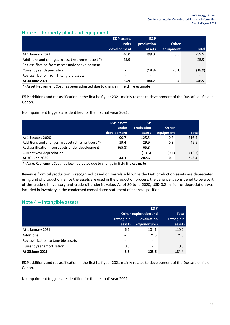## Note 3 – Property plant and equipment

|                                                   | <b>E&amp;P</b> assets | E&P                      |              |                          |
|---------------------------------------------------|-----------------------|--------------------------|--------------|--------------------------|
|                                                   | under                 | production               | <b>Other</b> |                          |
|                                                   | development           | assets                   | equipment    | <b>Total</b>             |
| At 1 January 2021                                 | 40.0                  | 199.0                    | 0.5          | 239.5                    |
| Additions and changes in asset retirement cost *) | 25.9                  | $\overline{\phantom{0}}$ |              | 25.9                     |
| Reclassification from assets under development    |                       | $\overline{\phantom{0}}$ | -            | $\overline{\phantom{0}}$ |
| Current year depreciation                         |                       | (18.8)                   | (0.1)        | (18.9)                   |
| Reclassification from intangible assets           |                       |                          |              |                          |
| At 30 June 2021                                   | 65.9                  | 180.2                    | 0.4          | 246.5                    |

\*) Asset Retirement Cost has been adjusted due to change in field life estimate

E&P additions and reclassification in the first half-year 2021 mainly relatesto development of the Dussafu oil field in Gabon.

No impairment triggers are identified for the first half-year 2021.

|                                                   | <b>E&amp;P</b> assets<br>under | E&P<br>production | <b>Other</b>             |              |
|---------------------------------------------------|--------------------------------|-------------------|--------------------------|--------------|
|                                                   | development                    | assets            | equipment                | <b>Total</b> |
| At 1 January 2020                                 | 90.7                           | 125.5             | 0.3                      | 216.5        |
| Additions and changes in asset retirement cost *) | 19.4                           | 29.9              | 0.3                      | 49.6         |
| Reclassification from assets under development    | (65.8)                         | 65.8              | $\overline{\phantom{a}}$ |              |
| Current year depreciation                         | $\overline{\phantom{0}}$       | (13.6)            | (0.1)                    | (13.7)       |
| At 30 June 2020                                   | 44.3                           | 207.6             | 0.5                      | 252.4        |

\*) Asset Retirement Cost has been adjusted due to change in field life estimate

Revenue from oil production is recognised based on barrels sold while the E&P production assets are depreciated using unit of production. Since the assets are used in the production process, the variance is considered to be a part of the crude oil inventory and crude oil underlift value. As of 30 June 2020, USD 0.2 million of depreciation was included in inventory in the condensed consolidated statement of financial position.

## Note 4 – Intangible assets

|                                     | <b>Other exploration and</b> | <b>Total</b>               |                      |
|-------------------------------------|------------------------------|----------------------------|----------------------|
|                                     | intangible<br>assets         | evaluation<br>expenditures | intangible<br>assets |
| At 1 January 2021                   | 6.1                          | 104.1                      | 110.2                |
| Additions                           |                              | 24.5                       | 24.5                 |
| Reclassification to tangible assets | -                            | $\overline{\phantom{a}}$   |                      |
| Current year amortisation           | (0.3)                        | $\overline{\phantom{a}}$   | (0.3)                |
| At 30 June 2021                     | 5.8                          | 128.6                      | 134.4                |

E&P additions and reclassification in the first half-year 2021 mainly relates to development of the Dussafu oil field in Gabon.

No impairment triggers are identified for the first half-year 2021.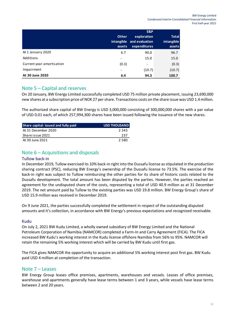|                           | <b>Other</b><br>intangible<br>assets | E&P<br>exploration<br>and evaluation<br>expenditures | <b>Total</b><br>intangible<br>assets |
|---------------------------|--------------------------------------|------------------------------------------------------|--------------------------------------|
| At 1 January 2020         | 6.7                                  | 90.0                                                 | 96.7                                 |
| Additions                 | $\overline{\phantom{0}}$             | 15.0                                                 | 15.0                                 |
| Current year amortisation | (0.3)                                | $\overline{\phantom{a}}$                             | (0.3)                                |
| Impairment                | -                                    | (10.7)                                               | (10.7)                               |
| At 30 June 2020           | 6.4                                  | 94.3                                                 | 100.7                                |

## Note 5 – Capital and reserves

On 20 January, BW Energy Limited successfully completed USD 75 million private placement, issuing 23,690,000 new shares at a subscription price of NOK 27 per share. Transactions costs on the share issue was USD 1.4 million.

The authorised share capital of BW Energy is USD 3,000,000 consisting of 300,000,000 shares with a par value of USD 0.01 each, of which 257,994,300 shares have been issued following the issuance of the new shares.

| Share capital: issued and fully paid | <b>USD THOUSAND</b> |
|--------------------------------------|---------------------|
| At 31 December 2020                  | 2.343               |
| Share issue 2021                     | 237                 |
| At 30 June 2021                      | 2.580               |

# Note 6 – Acquisitions and disposals

### Tullow back-in

In December 2019, Tullow exercised its 10% back-in right into the Dussafu license as stipulated in the production sharing contract (PSC), reducing BW Energy's ownership of the Dussafu license to 73.5%. The exercise of the back-in right was subject to Tullow reimbursing the other parties for its share of historic costs related to the Dussafu development. The total amount has been disputed by the parties. However, the parties reached an agreement for the undisputed share of the costs, representing a total of USD 40.9 million as at 31 December 2019. The net amount paid by Tullow to the existing parties was USD 19.8 million. BW Energy Group's share of USD 15.9 million was received in December 2019.

On 9 June 2021, the parties successfully completed the settlement in respect of the outstanding disputed amounts and it's collection, in accordance with BW Energy's previous expectations and recognized receivable.

### Kudu

On July 2, 2021 BW Kudu Limited, a wholly owned subsidiary of BW Energy Limited and the National Petroleum Corporation of Namibia (NAMCOR) completed a Farm-In and Carry Agreement (FICA). The FICA increased BW Kudu's working interest in the Kudu license offshore Namibia from 56% to 95%. NAMCOR will retain the remaining 5% working interest which will be carried by BW Kudu until first gas.

The FICA gives NAMCOR the opportunity to acquire an additional 5% working interest post first gas. BW Kudu paid USD 4 million at completion of the transaction.

### Note 7 – Leases

BW Energy Group leases office premises, apartments, warehouses and vessels. Leases of office premises, warehouse and apartments generally have lease terms between 1 and 3 years, while vessels have lease terms between 2 and 20 years.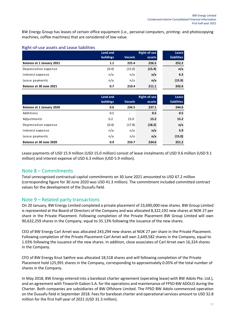BW Energy Group has leases of certain office equipment (i.e., personal computers, printing- and photocopying machines, coffee machines) that are considered of low value.

#### Right-of-use assets and Lease liabilities

|                           | Land and  |                | Right-of-use | Lease              |
|---------------------------|-----------|----------------|--------------|--------------------|
|                           | buildings | <b>Vessels</b> | assets       | <b>liabilities</b> |
| Balance at 1 January 2021 | 1.1       | 225.4          | 226.5        | 252.2              |
| Depreciation expense      | (0.4)     | (15.0)         | (15.4)       | n/a                |
| Interest expense          | n/a       | n/a            | n/a          | 6.3                |
| Lease payments            | n/a       | n/a            | n/a          | (15.9)             |
| Balance at 30 June 2021   | 0.7       | 210.4          | 211.1        | 242.6              |

|                                                                                                                                                                                                                                                                                                                                                                                                                                                                                                                                 | Land and        |                | Right-of-use        | Lease              |
|---------------------------------------------------------------------------------------------------------------------------------------------------------------------------------------------------------------------------------------------------------------------------------------------------------------------------------------------------------------------------------------------------------------------------------------------------------------------------------------------------------------------------------|-----------------|----------------|---------------------|--------------------|
|                                                                                                                                                                                                                                                                                                                                                                                                                                                                                                                                 | buildings       | <b>Vessels</b> | assets              | <b>liabilities</b> |
| Balance at 1 January 2021                                                                                                                                                                                                                                                                                                                                                                                                                                                                                                       | 1.1             | 225.4          | 226.5               | 252.2              |
| Depreciation expense                                                                                                                                                                                                                                                                                                                                                                                                                                                                                                            | (0.4)           | (15.0)         | (15.4)              | n/a                |
| Interest expense                                                                                                                                                                                                                                                                                                                                                                                                                                                                                                                | n/a             | n/a            | n/a                 | 6.3                |
| Lease payments                                                                                                                                                                                                                                                                                                                                                                                                                                                                                                                  | n/a             | n/a            | n/a                 | (15.9)             |
| Balance at 30 June 2021                                                                                                                                                                                                                                                                                                                                                                                                                                                                                                         | 0.7             | 210.4          | 211.1               | 242.6              |
|                                                                                                                                                                                                                                                                                                                                                                                                                                                                                                                                 | <b>Land and</b> |                | <b>Right-of-use</b> | Lease              |
|                                                                                                                                                                                                                                                                                                                                                                                                                                                                                                                                 | buildings       | <b>Vessels</b> | assets              | <b>liabilities</b> |
| Balance at 1 January 2020                                                                                                                                                                                                                                                                                                                                                                                                                                                                                                       | 0.6             | 236.5          | 237.1               | 244.6              |
| Additions                                                                                                                                                                                                                                                                                                                                                                                                                                                                                                                       | 0.5             | $\blacksquare$ | 0.5                 | 0.5                |
| Adjustments                                                                                                                                                                                                                                                                                                                                                                                                                                                                                                                     | 0.2             | 15.0           | 15.2                | 15.2               |
| Depreciation expense                                                                                                                                                                                                                                                                                                                                                                                                                                                                                                            | (0.4)           | (17.8)         | (18.2)              | n/a                |
| Interest expense                                                                                                                                                                                                                                                                                                                                                                                                                                                                                                                | n/a             | n/a            | n/a                 | 5.9                |
| Lease payments                                                                                                                                                                                                                                                                                                                                                                                                                                                                                                                  | n/a             | n/a            | n/a                 | (15.0)             |
| Balance at 30 June 2020                                                                                                                                                                                                                                                                                                                                                                                                                                                                                                         | 0.9             | 233.7          | 234.6               | 251.2              |
| Total unrecognised contractual capital commitments on 30 June 2021 amounted to USD 67.2 r<br>(corresponding figure for 30 June 2020 was USD 41.3 million). The commitment included comn<br>values for the development of the Dussafu field.                                                                                                                                                                                                                                                                                     |                 |                |                     |                    |
| Note $9$ – Related party transactions<br>On 20 January, BW Energy Limited completed a private placement of 23,690,000 new shares. B'<br>is represented at the Board of Directors of the Company and was allocated 8,322,192 new shar<br>share in the Private Placement. Following completion of the Private Placement BW Group I<br>90,632,259 shares in the Company, equal to 35.13% following the issuance of the new shares.<br>CEO of BW Energy Carl Arnet was allocated 243,294 new shares at NOK 27 per share in the Priv |                 |                |                     |                    |
| Following completion of the Private Placement Carl Arnet will own 2,649,582 shares in the Con<br>1.03% following the issuance of the new shares. In addition, close associates of Carl Arnet own<br>in the Company.                                                                                                                                                                                                                                                                                                             |                 |                |                     |                    |
| CFO of BW Energy Knut Sæthre was allocated 18,518 shares and will following completion of th<br>Placement hold 125,991 shares in the Company, corresponding to approximately 0.05% of the<br>shares in the Company.                                                                                                                                                                                                                                                                                                             |                 |                |                     |                    |
| In May 2018, BW Energy entered into a bareboat charter agreement (operating lease) with BW<br>and an agreement with Tinworth Gabon S.A. for the operations and maintenance of FPSO BW A<br>Charter. Both companies are subsidiaries of BW Offshore Limited. The FPSO BW Adolo comm<br>on the Dussafu field in September 2018. Fees for bareboat charter and operational services am<br>million for the first half-year of 2021 (USD 31.3 million).                                                                              |                 |                |                     |                    |

Lease payments of USD 15.9 million (USD 15.0 million) consist of lease instalments of USD 9.6 million (USD 9.1 million) and interest expense of USD 6.3 million (USD 5.9 million).

## Note 8 – Commitments

Total unrecognised contractual capital commitments on 30 June 2021 amounted to USD 67.2 million (corresponding figure for 30 June 2020 was USD 41.3 million). The commitment included committed contract values for the development of the Dussafu field.

## Note 9 – Related party transactions

On 20 January, BW Energy Limited completed a private placement of 23,690,000 new shares. BW Group Limited is represented at the Board of Directors of the Company and was allocated 8,322,192 new shares at NOK 27 per share in the Private Placement. Following completion of the Private Placement BW Group Limited will own 90,632,259 shares in the Company, equal to 35.13% following the issuance of the new shares.

CEO of BW Energy Carl Arnet was allocated 243,294 new shares at NOK 27 per share in the Private Placement. Following completion of the Private Placement Carl Arnet will own 2,649,582 shares in the Company, equal to 1.03% following the issuance of the new shares. In addition, close associates of Carl Arnet own 16,324 shares in the Company.

CFO of BW Energy Knut Sæthre was allocated 18,518 shares and will following completion of the Private Placement hold 125,991 shares in the Company, corresponding to approximately 0.05% of the total number of shares in the Company.

In May 2018, BW Energy entered into a bareboat charter agreement (operating lease) with BW Adolo Pte. Ltd.), and an agreement with Tinworth Gabon S.A. for the operations and maintenance of FPSO BW ADOLO during the Charter. Both companies are subsidiaries of BW Offshore Limited. The FPSO BW Adolo commenced operation on the Dussafu field in September 2018. Fees for bareboat charter and operational services amount to USD 32.8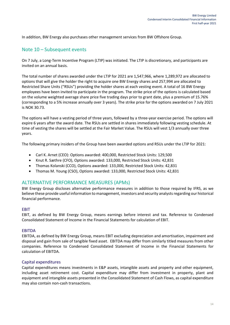In addition, BW Energy also purchases other management services from BW Offshore Group.

## Note 10 – Subsequent events

On 7 July, a Long-Term Incentive Program (LTIP) was initiated. The LTIP is discretionary, and participants are invited on an annual basis.

The total number of shares awarded under the LTIP for 2021 are 1,547,966, where 1,289,972 are allocated to options that will give the holder the right to acquire one BW Energy shares and 257,994 are allocated to Restricted Share Units ("RSUs") providing the holder shares at each vesting event. A total of 16 BW Energy employees have been invited to participate in the program. The strike price of the options is calculated based on the volume weighted average share price five trading days prior to grant date, plus a premium of 15.76% (corresponding to a 5% increase annually over 3 years). The strike price for the options awarded on 7 July 2021 is NOK 30.73.

The options will have a vesting period of three years, followed by a three-year exercise period. The options will expire 6 years after the award date. The RSUs are settled in shares immediately following vesting schedule. At time of vesting the shares will be settled at the Fair Market Value. The RSUs will vest 1/3 annually over three years.

The following primary insiders of the Group have been awarded options and RSUs under the LTIP for 2021:

- Carl K. Arnet (CEO): Options awarded: 400,000, Restricted Stock Units: 129,500
- Knut R. Sæthre (CFO), Options awarded: 133,000, Restricted Stock Units: 42,831
- Thomas Kolanski (CCO), Options awarded: 133,000, Restricted Stock Units: 42,831
- Thomas M. Young (CSO), Options awarded: 133,000, Restricted Stock Units: 42,831

## ALTERNATIVE PERFORMANCE MEASURES (APMs)

BW Energy Group discloses alternative performance measures in addition to those required by IFRS, as we believe these provide useful information to management, investors and security analysts regarding our historical financial performance.

### EBIT

EBIT, as defined by BW Energy Group, means earnings before interest and tax. Reference to Condensed Consolidated Statement of Income in the Financial Statements for calculation of EBIT.

### EBITDA

EBITDA, as defined by BW Energy Group, means EBIT excluding depreciation and amortisation, impairment and disposal and gain from sale of tangible fixed asset. EBITDA may differ from similarly titled measures from other companies. Reference to Condensed Consolidated Statement of Income in the Financial Statements for calculation of EBITDA.

#### Capital expenditures

Capital expenditures means investments in E&P assets, intangible assets and property and other equipment, including asset retirement cost. Capital expenditure may differ from investment in property, plant and equipment and intangible assets presented in the Consolidated Statement of Cash Flows, as capital expenditure may also contain non-cash transactions.